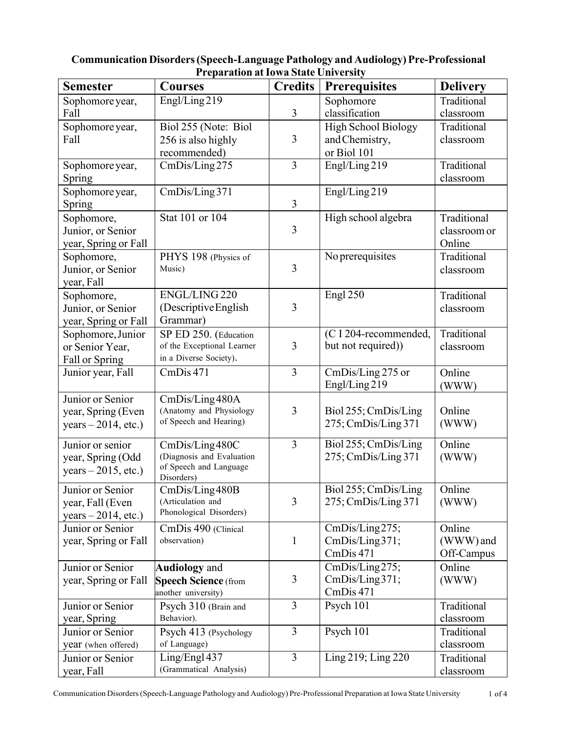| <b>Semester</b>       | <b>Courses</b>              | <b>Credits</b> | <b>Prerequisites</b>       | <b>Delivery</b>      |
|-----------------------|-----------------------------|----------------|----------------------------|----------------------|
| Sophomore year,       | Engl/Ling219                |                | Sophomore                  | Traditional          |
| Fall                  |                             | $\overline{3}$ | classification             | classroom            |
| Sophomore year,       | Biol 255 (Note: Biol        |                | <b>High School Biology</b> | Traditional          |
| Fall                  | 256 is also highly          | 3              | and Chemistry,             | classroom            |
|                       | recommended)                |                | or Biol 101                |                      |
| Sophomore year,       | CmDis/Ling275               | $\overline{3}$ | Engl/Ling219               | Traditional          |
| Spring                |                             |                |                            | classroom            |
| Sophomore year,       | CmDis/Ling 371              |                | Engl/Ling219               |                      |
| <b>Spring</b>         |                             | 3              |                            |                      |
| Sophomore,            | Stat 101 or 104             |                | High school algebra        | Traditional          |
| Junior, or Senior     |                             | $\overline{3}$ |                            | classroom or         |
| year, Spring or Fall  |                             |                |                            | Online               |
| Sophomore,            | PHYS 198 (Physics of        |                | No prerequisites           | Traditional          |
| Junior, or Senior     | Music)                      | $\overline{3}$ |                            | classroom            |
|                       |                             |                |                            |                      |
| year, Fall            | ENGL/LING 220               |                | Engl 250                   | Traditional          |
| Sophomore,            |                             | 3              |                            |                      |
| Junior, or Senior     | (Descriptive English        |                |                            | classroom            |
| year, Spring or Fall  | Grammar)                    |                |                            |                      |
| Sophomore, Junior     | SP ED 250. (Education       |                | (C I 204-recommended,      | Traditional          |
| or Senior Year,       | of the Exceptional Learner  | 3              | but not required))         | classroom            |
| Fall or Spring        | in a Diverse Society).      |                |                            |                      |
| Junior year, Fall     | CmDis 471                   | 3              | CmDis/Ling 275 or          | Online               |
|                       |                             |                | Engl/Ling219               | (WWW)                |
| Junior or Senior      | CmDis/Ling480A              |                |                            |                      |
| year, Spring (Even    | (Anatomy and Physiology     | 3              | Biol 255; CmDis/Ling       | Online               |
| $years - 2014, etc.)$ | of Speech and Hearing)      |                | 275; CmDis/Ling 371        | (WWW)                |
| Junior or senior      | CmDis/Ling480C              | 3              | Biol 255; CmDis/Ling       | $\overline{O}$ nline |
| year, Spring (Odd     | (Diagnosis and Evaluation   |                | 275; CmDis/Ling 371        | (WWW)                |
| $years - 2015, etc.)$ | of Speech and Language      |                |                            |                      |
|                       | Disorders)                  |                |                            |                      |
| Junior or Senior      | CmDis/Ling480B              |                | Biol 255; CmDis/Ling       | Online               |
| year, Fall (Even      | (Articulation and           | 3              | 275; CmDis/Ling 371        | (WWW)                |
| years $-2014$ , etc.) | Phonological Disorders)     |                |                            |                      |
| Junior or Senior      | CmDis 490 (Clinical         |                | CmDis/Ling275;             | Online               |
| year, Spring or Fall  | observation)                | $\mathbf{1}$   | CmDis/Ling371;             | (WWW) and            |
|                       |                             |                | CmDis 471                  | Off-Campus           |
| Junior or Senior      | <b>Audiology</b> and        |                | CmDis/Ling275;             | Online               |
| year, Spring or Fall  | <b>Speech Science</b> (from | 3              | CmDis/Ling371;             | (WWW)                |
|                       | another university)         |                | CmDis 471                  |                      |
| Junior or Senior      | Psych 310 (Brain and        | 3              | Psych 101                  | Traditional          |
| year, Spring          | Behavior).                  |                |                            | classroom            |
| Junior or Senior      | Psych 413 (Psychology       | 3              | Psych 101                  | Traditional          |
| year (when offered)   | of Language)                |                |                            | classroom            |
| Junior or Senior      | Ling/Engl 437               | 3              | Ling 219; Ling 220         | Traditional          |
| year, Fall            | (Grammatical Analysis)      |                |                            | classroom            |

### **Communication Disorders(Speech-Language Pathology and Audiology) Pre-Professional Preparation atIowa State University**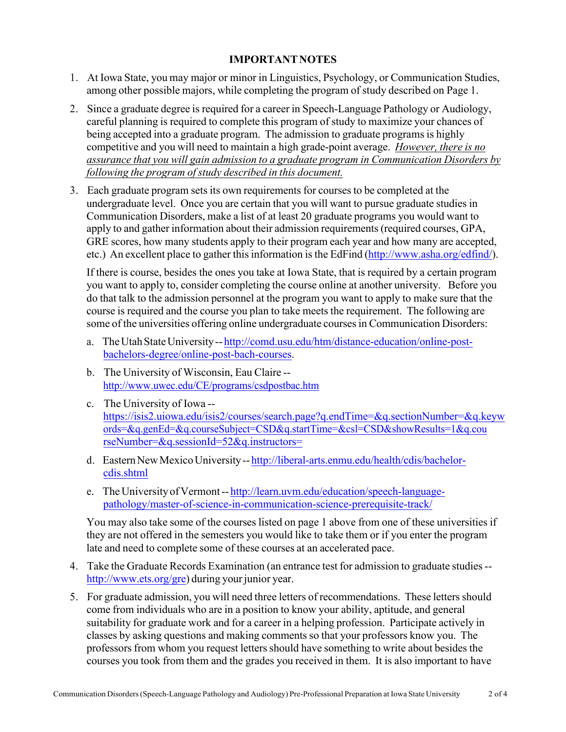### **IMPORTANTNOTES**

- 1. At Iowa State, you may major or minor in Linguistics, Psychology, or Communication Studies, among other possible majors, while completing the program of study described on Page 1.
- 2. Since a graduate degree is required for a career in Speech-Language Pathology or Audiology, careful planning is required to complete this program of study to maximize your chances of being accepted into a graduate program. The admission to graduate programs is highly competitive and you will need to maintain a high grade-point average. *However, there is no assurance that you will gain admission to a graduate program in Communication Disorders by following the program ofstudy described in this document.*
- 3. Each graduate program sets its own requirements for coursesto be completed at the undergraduate level. Once you are certain that you will want to pursue graduate studies in Communication Disorders, make a list of at least 20 graduate programs you would want to apply to and gather information about their admission requirements(required courses, GPA, GRE scores, how many students apply to their program each year and how many are accepted, etc.) An excellent place to gather this information is the EdFind (http://www.asha.org/edfind/).

If there is course, besides the ones you take at Iowa State, that is required by a certain program you want to apply to, consider completing the course online at another university. Before you do that talk to the admission personnel at the program you want to apply to make sure that the course is required and the course you plan to take meets the requirement. The following are some of the universities offering online undergraduate courses in Communication Disorders:

- a. TheUtahStateUniversity-- http://comd.usu.edu/htm/distance-education/online-postbachelors-degree/online-post-bach-courses.
- b. The University of Wisconsin, Eau Claire http://www.uwec.edu/CE/programs/csdpostbac.htm
- c. The University of Iowa https://isis2.uiowa.edu/isis2/courses/search.page?q.endTime=&q.sectionNumber=&q.keyw ords=&q.genEd=&q.courseSubject=CSD&q.startTime=&csl=CSD&showResults=1&q.cou rseNumber=&q.sessionId=52&q.instructors=
- d. Eastern New Mexico University-- http://liberal-arts.enmu.edu/health/cdis/bachelorcdis.shtml
- e. TheUniversity ofVermont-- http://learn.uvm.edu/education/speech-languagepathology/master-of-science-in-communication-science-prerequisite-track/

You may also take some of the courses listed on page 1 above from one of these universities if they are not offered in the semesters you would like to take them or if you enter the program late and need to complete some of these courses at an accelerated pace.

- 4. Take the Graduate Records Examination (an entrance test for admission to graduate studies- http://www.ets.org/gre) during your junior year.
- 5. For graduate admission, you will need three letters of recommendations. These letters should come from individuals who are in a position to know your ability, aptitude, and general suitability for graduate work and for a career in a helping profession. Participate actively in classes by asking questions and making comments so that your professors know you. The professors from whom you request letters should have something to write about besides the courses you took from them and the grades you received in them. It is also important to have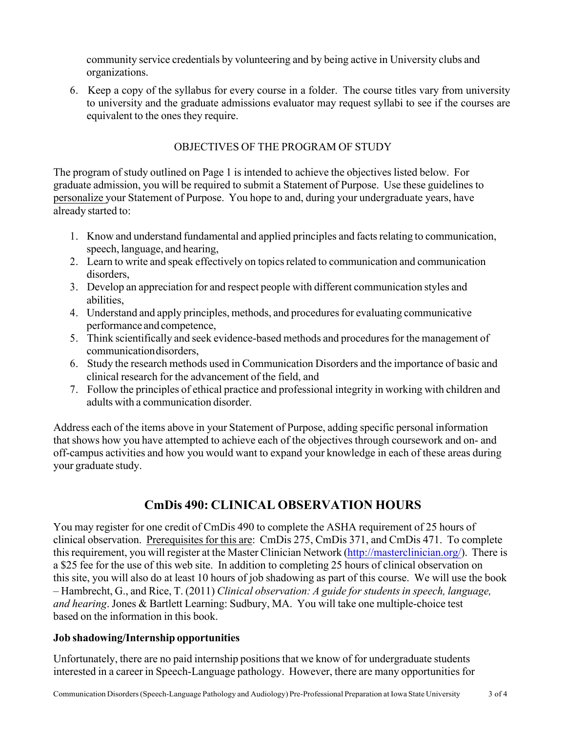community service credentials by volunteering and by being active in University clubs and organizations.

6. Keep a copy of the syllabus for every course in a folder. The course titles vary from university to university and the graduate admissions evaluator may request syllabi to see if the courses are equivalent to the ones they require.

### OBJECTIVES OF THE PROGRAM OF STUDY

The program of study outlined on Page 1 is intended to achieve the objectives listed below. For graduate admission, you will be required to submit a Statement of Purpose. Use these guidelines to personalize your Statement of Purpose. You hope to and, during your undergraduate years, have already started to:

- 1. Know and understand fundamental and applied principles and factsrelating to communication, speech, language, and hearing,
- 2. Learn to write and speak effectively on topicsrelated to communication and communication disorders,
- 3. Develop an appreciation for and respect people with different communication styles and abilities,
- 4. Understand and apply principles, methods, and proceduresfor evaluating communicative performance and competence,
- 5. Think scientifically and seek evidence-based methods and procedures for the management of communicationdisorders,
- 6. Study the research methods used in Communication Disorders and the importance of basic and clinical research for the advancement of the field, and
- 7. Follow the principles of ethical practice and professional integrity in working with children and adults with a communication disorder.

Address each of the items above in your Statement of Purpose, adding specific personal information that shows how you have attempted to achieve each of the objectives through coursework and on- and off-campus activities and how you would want to expand your knowledge in each of these areas during your graduate study.

# **CmDis 490: CLINICAL OBSERVATION HOURS**

You may register for one credit of CmDis 490 to complete the ASHA requirement of 25 hours of clinical observation. Prerequisites for this are: CmDis 275, CmDis 371, and CmDis 471. To complete this requirement, you will register at the Master Clinician Network (http://masterclinician.org/). There is a \$25 fee for the use of this web site. In addition to completing 25 hours of clinical observation on this site, you will also do at least 10 hours of job shadowing as part of this course. We will use the book – Hambrecht, G., and Rice, T. (2011) *Clinical observation: A guide for studentsin speech, language, and hearing*. Jones & Bartlett Learning: Sudbury, MA. You will take one multiple-choice test based on the information in this book.

### **Job shadowing/Internship opportunities**

Unfortunately, there are no paid internship positions that we know of for undergraduate students interested in a career in Speech-Language pathology. However, there are many opportunities for